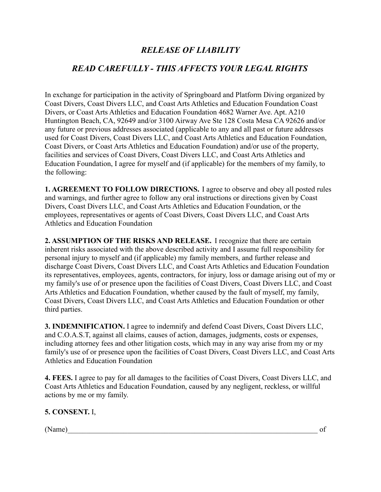# *RELEASE OF LIABILITY*

## *READ CAREFULLY - THIS AFFECTS YOUR LEGAL RIGHTS*

In exchange for participation in the activity of Springboard and Platform Diving organized by Coast Divers, Coast Divers LLC, and Coast Arts Athletics and Education Foundation Coast Divers, or Coast Arts Athletics and Education Foundation 4682 Warner Ave. Apt. A210 Huntington Beach, CA, 92649 and/or 3100 Airway Ave Ste 128 Costa Mesa CA 92626 and/or any future or previous addresses associated (applicable to any and all past or future addresses used for Coast Divers, Coast Divers LLC, and Coast Arts Athletics and Education Foundation, Coast Divers, or Coast Arts Athletics and Education Foundation) and/or use of the property, facilities and services of Coast Divers, Coast Divers LLC, and Coast Arts Athletics and Education Foundation, I agree for myself and (if applicable) for the members of my family, to the following:

**1. AGREEMENT TO FOLLOW DIRECTIONS.** I agree to observe and obey all posted rules and warnings, and further agree to follow any oral instructions or directions given by Coast Divers, Coast Divers LLC, and Coast Arts Athletics and Education Foundation, or the employees, representatives or agents of Coast Divers, Coast Divers LLC, and Coast Arts Athletics and Education Foundation

**2. ASSUMPTION OF THE RISKS AND RELEASE.** I recognize that there are certain inherent risks associated with the above described activity and I assume full responsibility for personal injury to myself and (if applicable) my family members, and further release and discharge Coast Divers, Coast Divers LLC, and Coast Arts Athletics and Education Foundation its representatives, employees, agents, contractors, for injury, loss or damage arising out of my or my family's use of or presence upon the facilities of Coast Divers, Coast Divers LLC, and Coast Arts Athletics and Education Foundation, whether caused by the fault of myself, my family, Coast Divers, Coast Divers LLC, and Coast Arts Athletics and Education Foundation or other third parties.

**3. INDEMNIFICATION.** I agree to indemnify and defend Coast Divers, Coast Divers LLC, and C.O.A.S.T, against all claims, causes of action, damages, judgments, costs or expenses, including attorney fees and other litigation costs, which may in any way arise from my or my family's use of or presence upon the facilities of Coast Divers, Coast Divers LLC, and Coast Arts Athletics and Education Foundation

**4. FEES.** I agree to pay for all damages to the facilities of Coast Divers, Coast Divers LLC, and Coast Arts Athletics and Education Foundation, caused by any negligent, reckless, or willful actions by me or my family.

### **5. CONSENT.** I,

 $(Name)$  of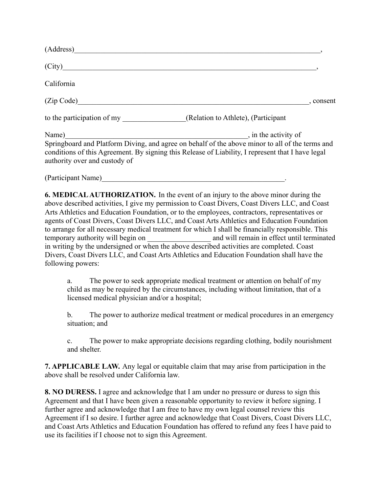| (Address)                              |                                                                                                                                                                                                                              |
|----------------------------------------|------------------------------------------------------------------------------------------------------------------------------------------------------------------------------------------------------------------------------|
| $\left(\text{City}\right)$             |                                                                                                                                                                                                                              |
| California                             |                                                                                                                                                                                                                              |
| (Zip Code)                             | , consent                                                                                                                                                                                                                    |
| to the participation of my             | (Relation to Athlete), (Participant                                                                                                                                                                                          |
| Name)<br>authority over and custody of | , in the activity of<br>Springboard and Platform Diving, and agree on behalf of the above minor to all of the terms and<br>conditions of this Agreement. By signing this Release of Liability, I represent that I have legal |
| (Participant Name)                     |                                                                                                                                                                                                                              |

**6. MEDICALAUTHORIZATION.** In the event of an injury to the above minor during the above described activities, I give my permission to Coast Divers, Coast Divers LLC, and Coast Arts Athletics and Education Foundation, or to the employees, contractors, representatives or agents of Coast Divers, Coast Divers LLC, and Coast Arts Athletics and Education Foundation to arrange for all necessary medical treatment for which I shall be financially responsible. This temporary authority will begin on \_\_\_\_\_\_\_\_\_\_\_\_\_\_\_\_\_\_\_\_\_\_\_ and will remain in effect until terminated in writing by the undersigned or when the above described activities are completed. Coast Divers, Coast Divers LLC, and Coast Arts Athletics and Education Foundation shall have the following powers:

a. The power to seek appropriate medical treatment or attention on behalf of my child as may be required by the circumstances, including without limitation, that of a licensed medical physician and/or a hospital;

b. The power to authorize medical treatment or medical procedures in an emergency situation; and

c. The power to make appropriate decisions regarding clothing, bodily nourishment and shelter.

**7. APPLICABLE LAW.** Any legal or equitable claim that may arise from participation in the above shall be resolved under California law.

**8. NO DURESS.** I agree and acknowledge that I am under no pressure or duress to sign this Agreement and that I have been given a reasonable opportunity to review it before signing. I further agree and acknowledge that I am free to have my own legal counsel review this Agreement if I so desire. I further agree and acknowledge that Coast Divers, Coast Divers LLC, and Coast Arts Athletics and Education Foundation has offered to refund any fees I have paid to use its facilities if I choose not to sign this Agreement.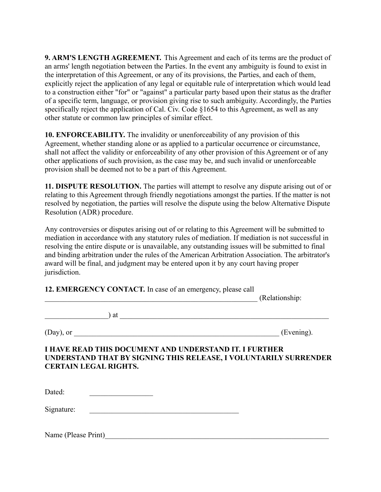**9. ARM'S LENGTH AGREEMENT.** This Agreement and each of its terms are the product of an arms' length negotiation between the Parties. In the event any ambiguity is found to exist in the interpretation of this Agreement, or any of its provisions, the Parties, and each of them, explicitly reject the application of any legal or equitable rule of interpretation which would lead to a construction either "for" or "against" a particular party based upon their status as the drafter of a specific term, language, or provision giving rise to such ambiguity. Accordingly, the Parties specifically reject the application of Cal. Civ. Code §1654 to this Agreement, as well as any other statute or common law principles of similar effect.

**10. ENFORCEABILITY.** The invalidity or unenforceability of any provision of this Agreement, whether standing alone or as applied to a particular occurrence or circumstance, shall not affect the validity or enforceability of any other provision of this Agreement or of any other applications of such provision, as the case may be, and such invalid or unenforceable provision shall be deemed not to be a part of this Agreement.

**11. DISPUTE RESOLUTION.** The parties will attempt to resolve any dispute arising out of or relating to this Agreement through friendly negotiations amongst the parties. If the matter is not resolved by negotiation, the parties will resolve the dispute using the below Alternative Dispute Resolution (ADR) procedure.

Any controversies or disputes arising out of or relating to this Agreement will be submitted to mediation in accordance with any statutory rules of mediation. If mediation is not successful in resolving the entire dispute or is unavailable, any outstanding issues will be submitted to final and binding arbitration under the rules of the American Arbitration Association. The arbitrator's award will be final, and judgment may be entered upon it by any court having proper jurisdiction.

**12. EMERGENCY CONTACT.** In case of an emergency, please call

\_\_\_\_\_\_\_\_\_\_\_\_\_\_\_\_\_\_\_\_\_\_\_\_\_\_\_\_\_\_\_\_\_\_\_\_\_\_\_\_\_\_\_\_\_\_\_\_\_\_\_\_\_\_\_\_\_ (Relationship:

 $\qquad \qquad$  at  $\qquad \qquad$ 

 $(Day)$ , or  $(Evening)$ .

#### **I HAVE READ THIS DOCUMENT AND UNDERSTAND IT. I FURTHER UNDERSTAND THAT BY SIGNING THIS RELEASE, I VOLUNTARILY SURRENDER CERTAIN LEGAL RIGHTS.**

 $Data:$ 

Signature: \_\_\_\_\_\_\_\_\_\_\_\_\_\_\_\_\_\_\_\_\_\_\_\_\_\_\_\_\_\_\_\_\_\_\_\_\_\_\_\_

Name (Please Print)